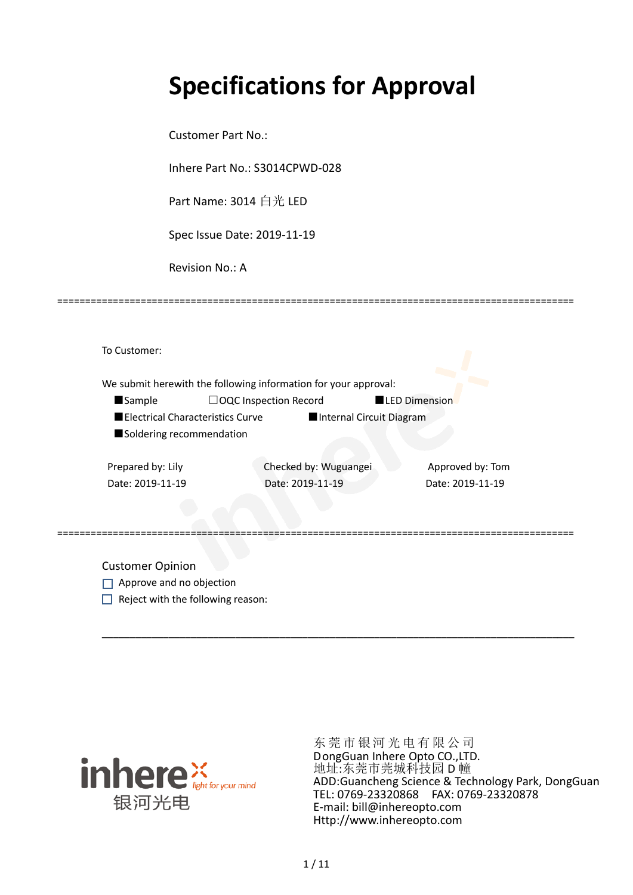# **Specifications for Approval**

=============================================================================================

Customer Part No.:

Inhere Part No.: S3014CPWD-028

Part Name: 3014 白光 LED

Spec Issue Date: 2019-11-19

Revision No.: A

To Customer: We submit herewith the following information for your approval: ■Sample □OQC Inspection Record ■LED Dimension ■Electrical Characteristics Curve ■Internal Circuit Diagram ■ Soldering recommendation Prepared by: Lily Checked by: Wuguangei Approved by: Tom Date: 2019-11-19 Date: 2019-11-19 Date: 2019-11-19 =============================================================================================

Customer Opinion

- Approve and no objection
- $\Box$  Reject with the following reason:



东莞市银河光电有限公司 DongGuan Inhere Opto CO.,LTD. 地址:东莞市莞城科技园 D 幢 ADD:Guancheng Science & Technology Park, DongGuan TEL: 0769-23320868 FAX: 0769-23320878 E-mail: bill@inhereopto.com [Http://www.inhereopto.com](http://www.inhereopto.com/)

\_\_\_\_\_\_\_\_\_\_\_\_\_\_\_\_\_\_\_\_\_\_\_\_\_\_\_\_\_\_\_\_\_\_\_\_\_\_\_\_\_\_\_\_\_\_\_\_\_\_\_\_\_\_\_\_\_\_\_\_\_\_\_\_\_\_\_\_\_\_\_\_\_\_\_\_\_\_\_\_\_\_\_\_\_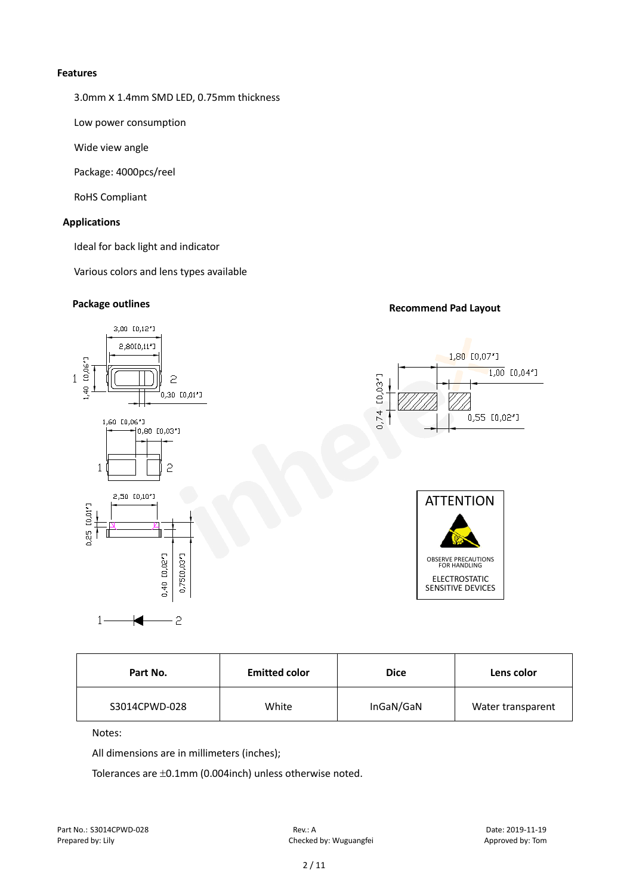#### **Features**

3.0mm X 1.4mm SMD LED, 0.75mm thickness

Low power consumption

Wide view angle

Package: 4000pcs/reel

RoHS Compliant

#### **Applications**

Ideal for back light and indicator

Various colors and lens types available

## **Package outlines Recommend Pad Layout**



| Part No.      | <b>Emitted color</b> |           | Lens color        |  |
|---------------|----------------------|-----------|-------------------|--|
| S3014CPWD-028 | White                | InGaN/GaN | Water transparent |  |

Notes:

All dimensions are in millimeters (inches);

Tolerances are ±0.1mm (0.004inch) unless otherwise noted.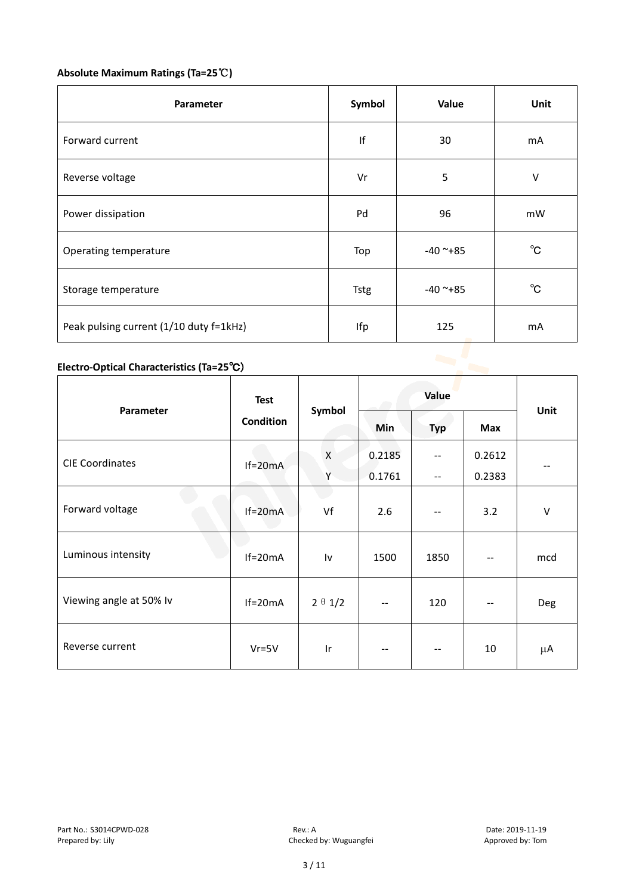#### **Absolute Maximum Ratings (Ta=25**℃**)**

| Parameter                                 | Symbol      | Value      | Unit         |
|-------------------------------------------|-------------|------------|--------------|
| Forward current                           | f           | 30         | mA           |
| Reverse voltage                           | Vr          | 5          | $\sf V$      |
| Power dissipation                         | Pd          | 96         | mW           |
| Operating temperature                     | Top         | $-40$ ~+85 | $^{\circ}$ C |
| Storage temperature                       | <b>Tstg</b> | $-40$ ~+85 | $^{\circ}$ C |
| Peak pulsing current (1/10 duty f=1kHz)   | Ifp         | 125        | mA           |
| Electro-Optical Characteristics (Ta=25°C) |             |            |              |

### **Electro-Optical Characteristics (Ta=25**℃)

| Parameter               | <b>Test</b>      | Symbol         | Value                    |                          |        | Unit   |
|-------------------------|------------------|----------------|--------------------------|--------------------------|--------|--------|
|                         | <b>Condition</b> |                | Min                      | <b>Typ</b>               | Max    |        |
| <b>CIE Coordinates</b>  | $If=20mA$        | X              | 0.2185                   | $- -$                    | 0.2612 | --     |
|                         |                  | Y              | 0.1761                   | $\overline{\phantom{m}}$ | 0.2383 |        |
| Forward voltage         | $If=20mA$        | Vf             | 2.6                      | $- -$                    | 3.2    | $\vee$ |
| Luminous intensity      | $If=20mA$        | Iv             | 1500                     | 1850                     |        | mcd    |
| Viewing angle at 50% lv | $If=20mA$        | $2 \theta 1/2$ | $\overline{\phantom{m}}$ | 120                      |        | Deg    |
| Reverse current         | $Vr = 5V$        | Ir             | $- -$                    | $\sim$ $\sim$            | 10     | μA     |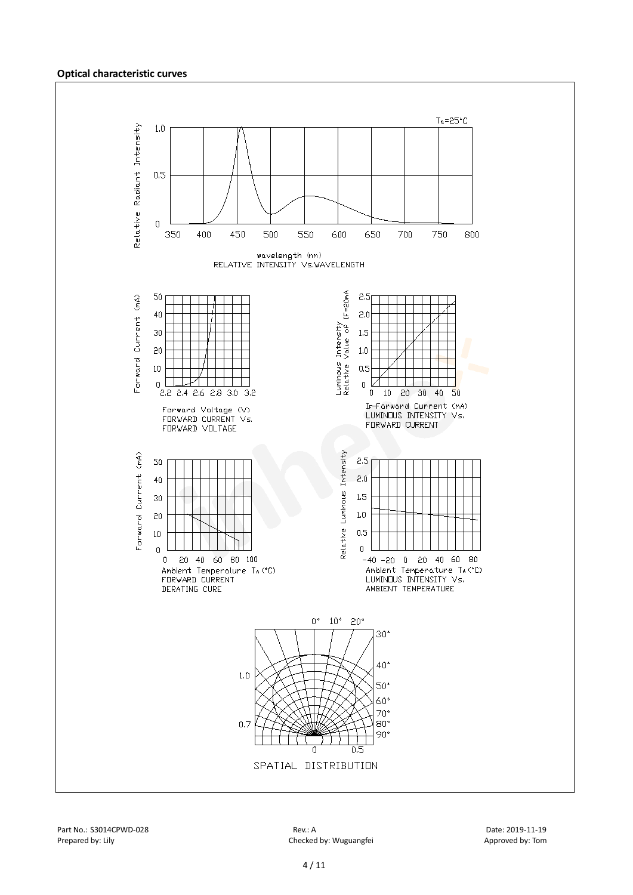#### **Optical characteristic curves**

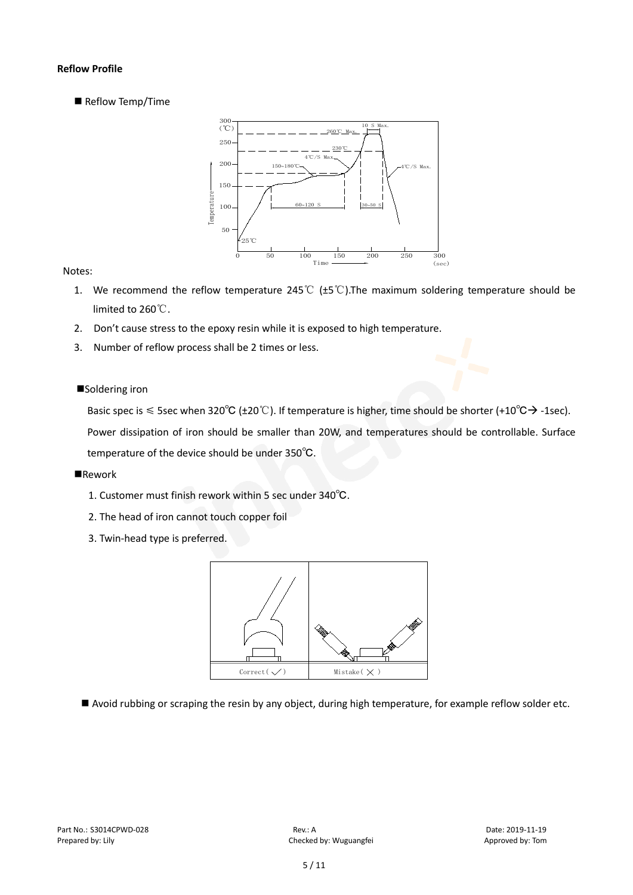#### **Reflow Profile**

Reflow Temp/Time



#### Notes:

- 1. We recommend the reflow temperature 245℃ (±5℃).The maximum soldering temperature should be limited to 260℃.
- 2. Don't cause stress to the epoxy resin while it is exposed to high temperature.
- 3. Number of reflow process shall be 2 times or less.

#### ■Soldering iron

Basic spec is  $\leq$  5sec when 320°C (±20°C). If temperature is higher, time should be shorter (+10°C $\rightarrow$ -1sec).

Power dissipation of iron should be smaller than 20W, and temperatures should be controllable. Surface temperature of the device should be under 350℃.

#### **Rework**

- 1. Customer must finish rework within 5 sec under 340℃.
- 2. The head of iron cannot touch copper foil
- 3. Twin-head type is preferred.



Avoid rubbing or scraping the resin by any object, during high temperature, for example reflow solder etc.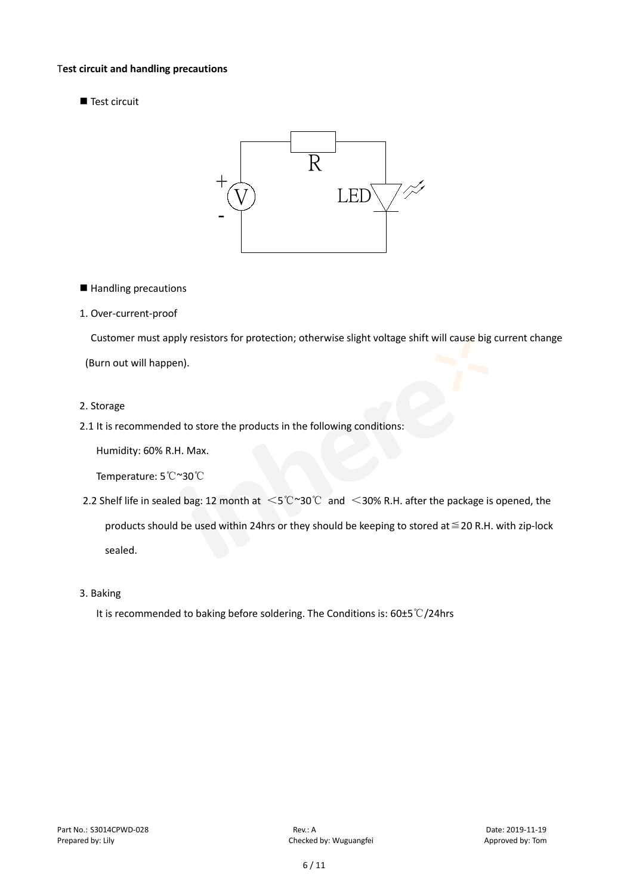#### T**est circuit and handling precautions**

Test circuit



■ Handling precautions

#### 1. Over-current-proof

Customer must apply resistors for protection; otherwise slight voltage shift will cause big current change

(Burn out will happen).

#### 2. Storage

#### 2.1 It is recommended to store the products in the following conditions:

Humidity: 60% R.H. Max.

Temperature: 5℃~30℃

- 2.2 Shelf life in sealed bag: 12 month at <5℃~30℃ and <30% R.H. after the package is opened, the products should be used within 24hrs or they should be keeping to stored at ≤20 R.H. with zip-lock sealed.
- 3. Baking

It is recommended to baking before soldering. The Conditions is: 60±5℃/24hrs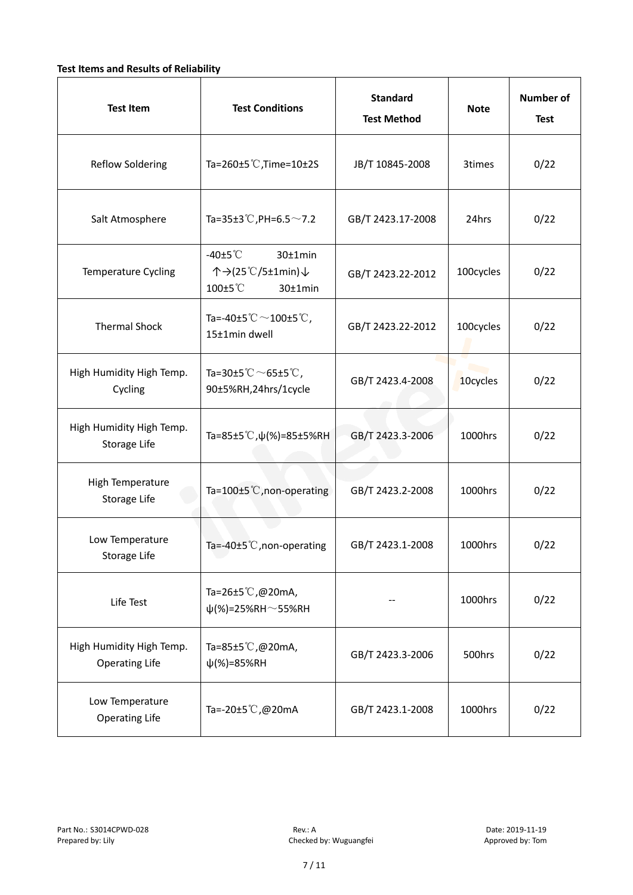#### **Test Items and Results of Reliability**

| <b>Test Item</b>                                  | <b>Test Conditions</b>                                                         | <b>Standard</b><br><b>Test Method</b> | <b>Note</b> | <b>Number of</b><br><b>Test</b> |
|---------------------------------------------------|--------------------------------------------------------------------------------|---------------------------------------|-------------|---------------------------------|
| <b>Reflow Soldering</b>                           | Ta=260 $\pm$ 5 °C, Time=10 $\pm$ 2S                                            | JB/T 10845-2008                       | 3times      | 0/22                            |
| Salt Atmosphere                                   | Ta=35±3°C, PH=6.5 $\sim$ 7.2                                                   | GB/T 2423.17-2008                     | 24hrs       | 0/22                            |
| Temperature Cycling                               | -40 $±5^{\circ}$ C<br>$30±1$ min<br>个→(25℃/5±1min)↓<br>100±5°C<br>$30±1$ min   | GB/T 2423.22-2012                     | 100cycles   | 0/22                            |
| <b>Thermal Shock</b>                              | Ta=-40±5 $\degree \text{C}$ $\sim$ 100±5 $\degree \text{C}$ ,<br>15±1min dwell | GB/T 2423.22-2012                     | 100cycles   | 0/22                            |
| High Humidity High Temp.<br>Cycling               | Ta=30±5 °C $\sim$ 65±5 °C,<br>90±5%RH,24hrs/1cycle                             | GB/T 2423.4-2008                      | 10cycles    | 0/22                            |
| High Humidity High Temp.<br>Storage Life          | Ta=85±5 °C, $\psi$ (%)=85±5%RH                                                 | GB/T 2423.3-2006                      | 1000hrs     | 0/22                            |
| High Temperature<br><b>Storage Life</b>           | Ta=100±5°C, non-operating                                                      | GB/T 2423.2-2008                      | 1000hrs     | 0/22                            |
| Low Temperature<br>Storage Life                   | Ta=-40±5℃, non-operating                                                       | GB/T 2423.1-2008                      | 1000hrs     | 0/22                            |
| Life Test                                         | Ta=26±5℃,@20mA,<br>$\psi$ (%)=25%RH~55%RH                                      |                                       | 1000hrs     | 0/22                            |
| High Humidity High Temp.<br><b>Operating Life</b> | Ta=85±5 $\degree$ C, @20mA,<br>$\psi$ (%)=85%RH                                | GB/T 2423.3-2006                      | 500hrs      | 0/22                            |
| Low Temperature<br><b>Operating Life</b>          | Ta=-20±5℃,@20mA                                                                | GB/T 2423.1-2008                      | 1000hrs     | 0/22                            |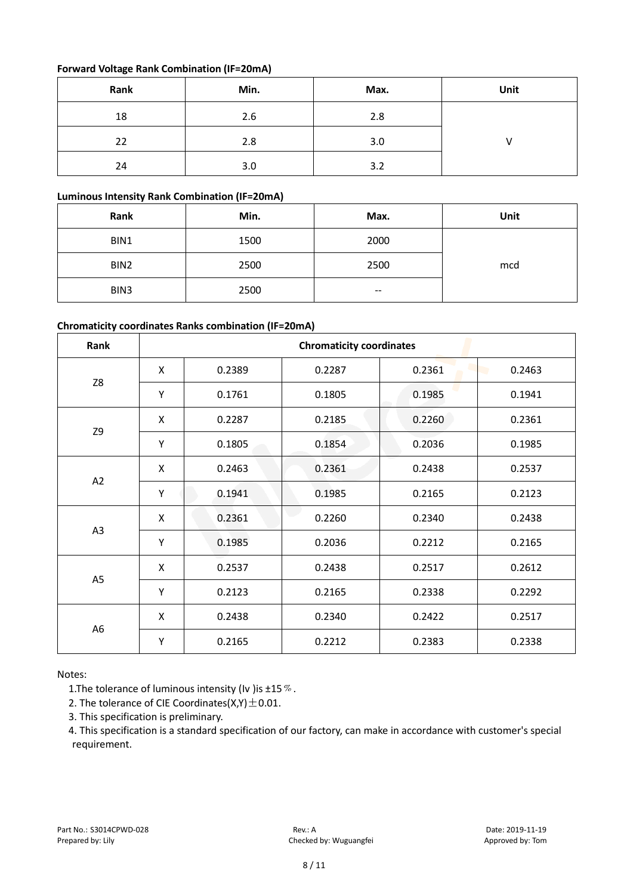#### **Forward Voltage Rank Combination (IF=20mA)**

| Rank | Min. | Max. | Unit |
|------|------|------|------|
| 18   | 2.6  | 2.8  |      |
| 22   | 2.8  | 3.0  |      |
| 24   | 3.0  | 3.2  |      |

#### **Luminous Intensity Rank Combination (IF=20mA)**

| Rank | Min. | Max. | Unit |
|------|------|------|------|
| BIN1 | 1500 | 2000 |      |
| BIN2 | 2500 | 2500 | mcd  |
| BIN3 | 2500 | --   |      |

#### **Chromaticity coordinates Ranks combination (IF=20mA)**

| Rank           | <b>Chromaticity coordinates</b> |        |        |        |        |
|----------------|---------------------------------|--------|--------|--------|--------|
|                | X                               | 0.2389 | 0.2287 | 0.2361 | 0.2463 |
| Z8             | Υ                               | 0.1761 | 0.1805 | 0.1985 | 0.1941 |
|                | X                               | 0.2287 | 0.2185 | 0.2260 | 0.2361 |
| Z9             | Υ                               | 0.1805 | 0.1854 | 0.2036 | 0.1985 |
|                | X                               | 0.2463 | 0.2361 | 0.2438 | 0.2537 |
| A2             | Υ                               | 0.1941 | 0.1985 | 0.2165 | 0.2123 |
|                | X                               | 0.2361 | 0.2260 | 0.2340 | 0.2438 |
| A <sub>3</sub> | Υ                               | 0.1985 | 0.2036 | 0.2212 | 0.2165 |
|                | X                               | 0.2537 | 0.2438 | 0.2517 | 0.2612 |
| A <sub>5</sub> | Υ                               | 0.2123 | 0.2165 | 0.2338 | 0.2292 |
| A <sub>6</sub> | X                               | 0.2438 | 0.2340 | 0.2422 | 0.2517 |
|                | Υ                               | 0.2165 | 0.2212 | 0.2383 | 0.2338 |

Notes:

1. The tolerance of luminous intensity (Iv ) is  $\pm 15\%$ .

2. The tolerance of CIE Coordinates( $X,Y$ )  $\pm$  0.01.

3. This specification is preliminary.

4. This specification is a standard specification of our factory, can make in accordance with customer's special requirement.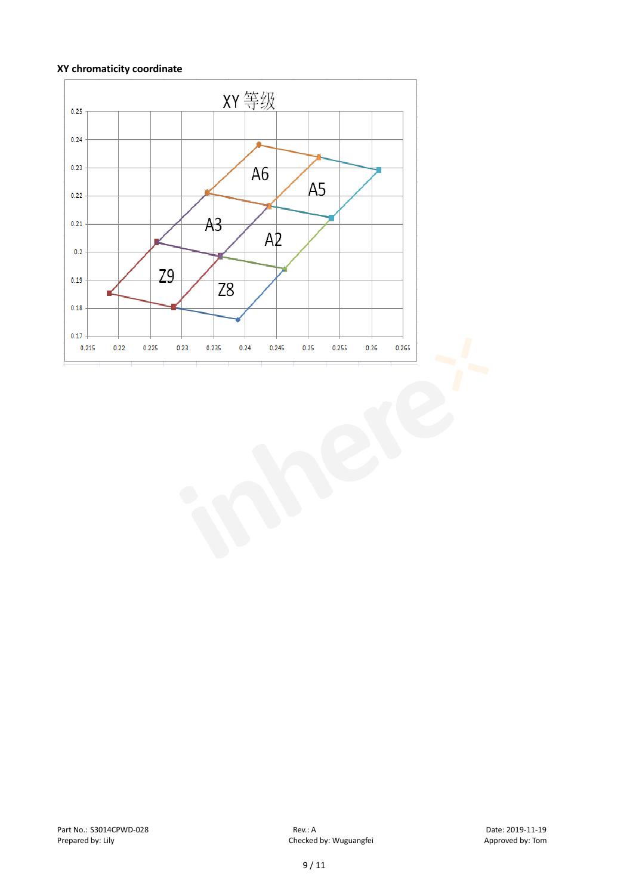#### **XY chromaticity coordinate**

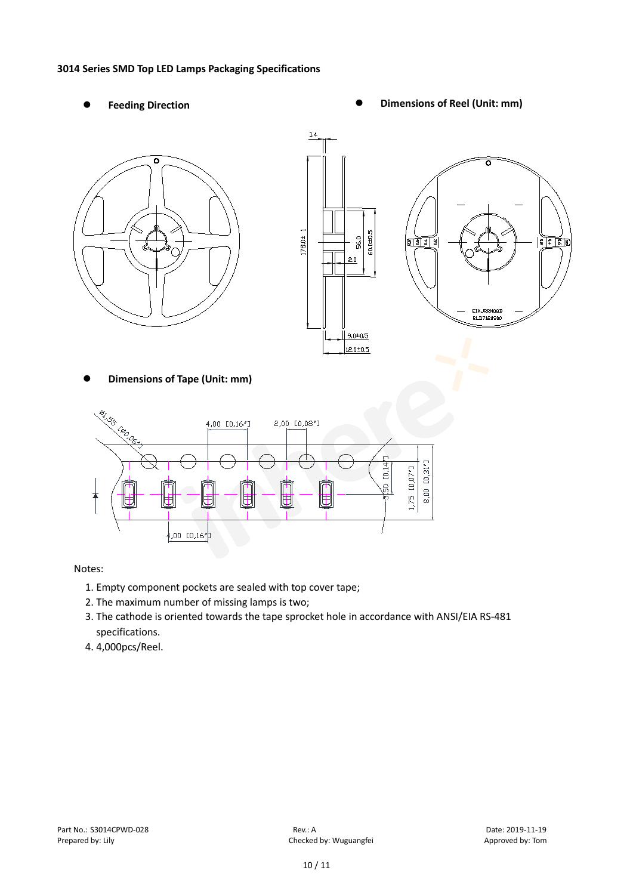#### **3014 Series SMD Top LED Lamps Packaging Specifications**

- 
- Feeding Direction **Constanting Constanting Constanting Constanting Constanting Constanting Constanting Constanting Constanting Constanting Constanting Constanting Constanting Constanting Constanting Constanting Constanting**





**Dimensions of Tape (Unit: mm)**



#### Notes:

- 1. Empty component pockets are sealed with top cover tape;
- 2. The maximum number of missing lamps is two;
- 3. The cathode is oriented towards the tape sprocket hole in accordance with ANSI/EIA RS-481 specifications.
- 4. 4,000pcs/Reel.